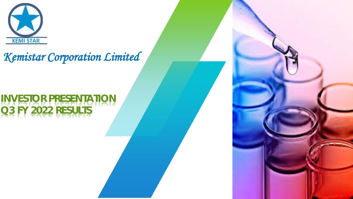

# *Kemistar Corporation Limited*

# **INVESTOR PRESENTATION Q3 FY 2022 RESULTS**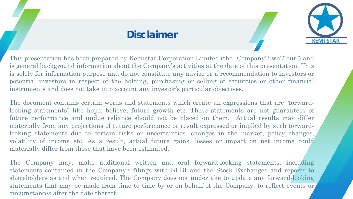#### **Disclaimer**



This presentation has been prepared by Kemistar Corporation Limited (the "Company"/"we"/"our") and is general background information about the Company's activities at the date of this presentation. This is solely for information purpose and do not constitute any advice or a recommendation to investors or potential investors in respect of the holding, purchasing or selling of securities or other financial instruments and does not take into account any investor's particular objectives.

The document contains certain words and statements which create an expressions that are "forwardlooking statements" like hope, believe, future growth etc. These statements are not guarantees of future performance and undue reliance should not be placed on them. Actual results may differ materially from any projections of future performance or result expressed or implied by such forwardlooking statements due to certain risks or uncertainties, changes in the market, policy changes, volatility of income etc. As a result, actual future gains, losses or impact on net income could materially differ from those that have been estimated.

The Company may, make additional written and oral forward-looking statements, including statements contained in the Company's filings with SEBI and the Stock Exchanges and reports to shareholders as and when required. The Company does not undertake to update any forward-looking statements that may be made from time to time by or on behalf of the Company, to reflect events or circumstances after the date thereof.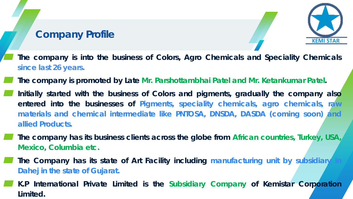### **Company Profile**



- ▰ **The company is into the business of Colors, Agro Chemicals and Speciality Chemicals since last 26 years.**
- ▰ **The company is promoted by Late Mr. Parshottambhai Patel and Mr. Ketankumar Patel.**
- ▰ **Initially started with the business of Colors and pigments, gradually the company also entered into the businesses of Pigments, speciality chemicals, agro chemicals, raw materials and chemical intermediate like PNTOSA, DNSDA, DASDA (coming soon) and allied Products.**
	- ▰ **The company has its business clients across the globe from African countries, Turkey, USA, Mexico, Columbia etc.**
	- ▰ **The Company has its state of Art Facility including manufacturing unit by subsidiary in Dahej in the state of Gujarat.**
- ▰ **K.P International Private Limited is the Subsidiary Company of Kemistar Corporation Limited.**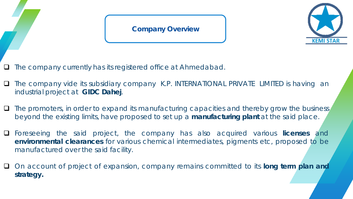#### **Company Overview**



- The company currently has its registered office at Ahmedabad.
- □ The company vide its subsidiary company K.P. INTERNATIONAL PRIVATE LIMITED is having an industrial project at **GIDC Dahej**.
- $\Box$  The promoters, in order to expand its manufacturing capacities and thereby grow the business, beyond the existing limits, have proposed to set up a **manufacturing plant** at the said place.
- Foreseeing the said project, the company has also acquired various **licenses** and **environmental clearances** for various chemical intermediates, pigments etc, proposed to be manufactured over the said facility.
- On account of project of expansion, company remains committed to its **long term plan and strategy.**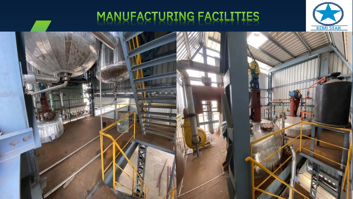# MANUFACTURING FACILITIES



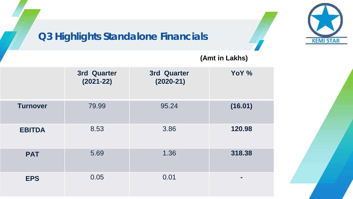## **Q3 Highlights Standalone Financials**



#### **(Amt in Lakhs)**

|                 | 3rd Quarter<br>$(2021 - 22)$ | 3rd Quarter<br>$(2020-21)$ | YoY %   |
|-----------------|------------------------------|----------------------------|---------|
| <b>Turnover</b> | 79.99                        | 95.24                      | (16.01) |
| <b>EBITDA</b>   | 8.53                         | 3.86                       | 120.98  |
| <b>PAT</b>      | 5.69                         | 1.36                       | 318.38  |
| <b>EPS</b>      | 0.05                         | 0.01                       | -       |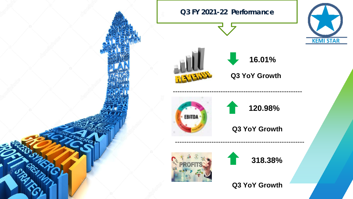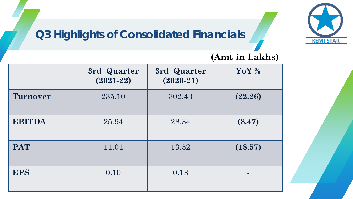## **Q3 Highlights of Consolidated Financials**



|                 | 3rd Quarter<br>$(2021 - 22)$ | 3rd Quarter<br>$(2020-21)$ | YoY %   |
|-----------------|------------------------------|----------------------------|---------|
| <b>Turnover</b> | 235.10                       | 302.43                     | (22.26) |
| <b>EBITDA</b>   | 25.94                        | 28.34                      | (8.47)  |
| <b>PAT</b>      | 11.01                        | 13.52                      | (18.57) |
| <b>EPS</b>      | 0.10                         | 0.13                       |         |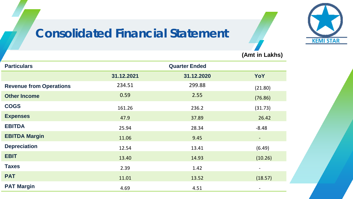# **Consolidated Financial Statement**



**(Amt in Lakhs)**

| <b>Particulars</b>             | <b>Quarter Ended</b> |            |                          |  |
|--------------------------------|----------------------|------------|--------------------------|--|
|                                | 31.12.2021           | 31.12.2020 | YoY                      |  |
| <b>Revenue from Operations</b> | 234.51               | 299.88     | (21.80)                  |  |
| <b>Other Income</b>            | 0.59                 | 2.55       | (76.86)                  |  |
| <b>COGS</b>                    | 161.26               | 236.2      | (31.73)                  |  |
| <b>Expenses</b>                | 47.9                 | 37.89      | 26.42                    |  |
| <b>EBITDA</b>                  | 25.94                | 28.34      | $-8.48$                  |  |
| <b>EBITDA Margin</b>           | 11.06                | 9.45       | $\overline{\phantom{a}}$ |  |
| <b>Depreciation</b>            | 12.54                | 13.41      | (6.49)                   |  |
| <b>EBIT</b>                    | 13.40                | 14.93      | (10.26)                  |  |
| <b>Taxes</b>                   | 2.39                 | 1.42       | $\overline{\phantom{a}}$ |  |
| <b>PAT</b>                     | 11.01                | 13.52      | (18.57)                  |  |
| <b>PAT Margin</b>              | 4.69                 | 4.51       |                          |  |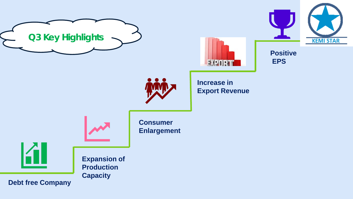





**Positive EPS**



**Increase in Export Revenue**



**Consumer Enlargement**

**Expansion of Production Capacity**

**Debt free Company**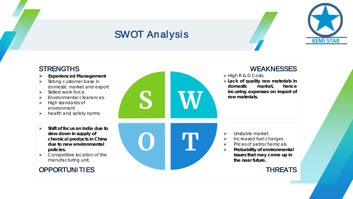### SWOT Analysis



#### STRENGTHS  **Experienced Management**  $\triangleright$  Strong customer base in domestic market and export  $\triangleright$  Skilled work force Environmental clearances.  $\blacktriangleright$  High standards of environment  $\triangleright$  health and safety norms **WEAKNESSES**  High R & D Costs **Lack of quality raw materials in domestic market, hence incurring expenses on import of raw materials. Shift of focus on India due to slow down in supply of chemical products in China due to new environmental policies.**  $\triangleright$  Competitive location of the manufacturing unit. OPPORTUNI TI ES > Unstable market  $\triangleright$  Increased fuel charges  $\triangleright$  Prices of petrochemicals **Probability of environmental issues that may come up in the near future. THREATS**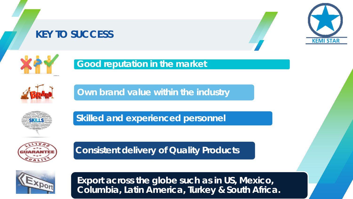### **KEY TO SUCCESS**





#### **Good reputation in the market**

**Own brand value within the industry**

**Skilled and experienced personnel**



**Consistent delivery of Quality Products** 



**Export across the globe such as in US, Mexico, Columbia, Latin America, Turkey & South Africa.**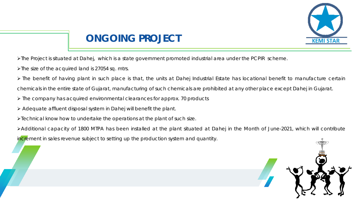

## **ONGOING PROJECT**

- The Project is situated at Dahej, which is a state government promoted industrial area under the PCPIR scheme.
- The size of the acquired land is 27054 sq. mtrs.
- The benefit of having plant in such place is that, the units at Dahej Industrial Estate has locational benefit to manufacture certain chemicals in the entire state of Gujarat, manufacturing of such chemicals are prohibited at any other place except Dahej in Gujarat.
- $\triangleright$  The company has acquired environmental clearances for approx. 70 products
- $\triangleright$  Adequate affluent disposal system in Dahej will benefit the plant.
- Technical know how to undertake the operations at the plant of such size.
- Additional capacity of 1800 MTPA has been installed at the plant situated at Dahej in the Month of June-2021, which will contribute
- increment in sales revenue subject to setting up the production system and quantity.

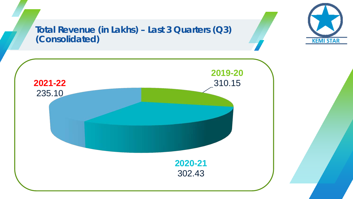#### **Total Revenue (in Lakhs) – Last 3 Quarters (Q3) (Consolidated)**



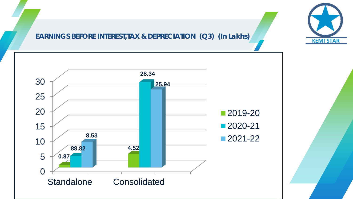#### **EARNINGS BEFORE INTEREST,TAX & DEPRECIATION (Q3) (In Lakhs)**



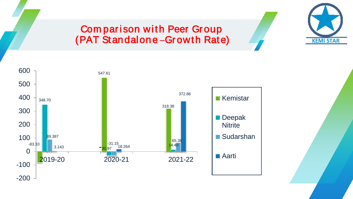

#### Comparison with Peer Group (PAT Standalone **–**Gr owth Rate)

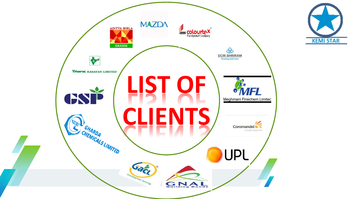